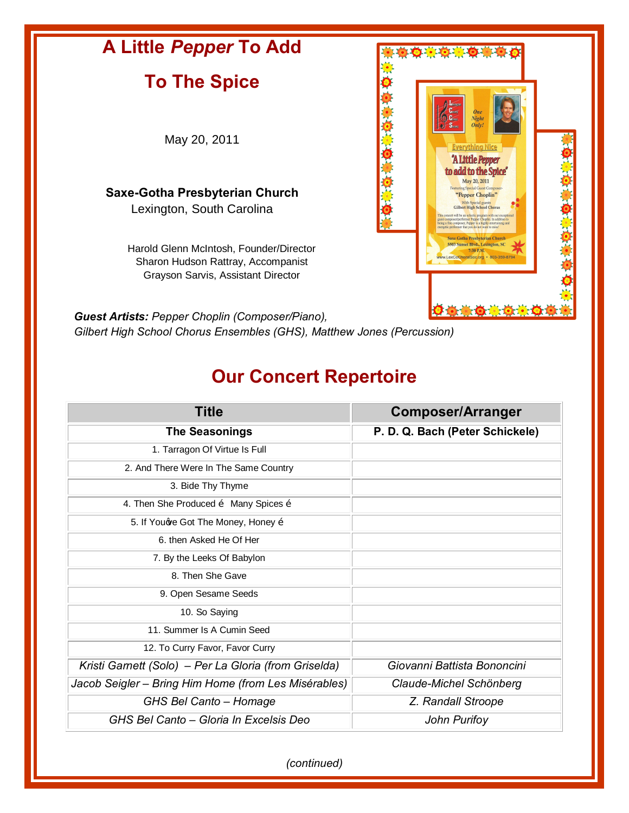

*Gilbert High School Chorus Ensembles (GHS), Matthew Jones (Percussion)*

## **Our Concert Repertoire**

| <b>Title</b>                                             | <b>Composer/Arranger</b>        |
|----------------------------------------------------------|---------------------------------|
| <b>The Seasonings</b>                                    | P. D. Q. Bach (Peter Schickele) |
| 1. Tarragon Of Virtue Is Full                            |                                 |
| 2. And There Were In The Same Country                    |                                 |
| 3. Bide Thy Thyme                                        |                                 |
| 4. Then She Produced $\tilde{o}$ Many Spices $\tilde{o}$ |                                 |
| 5. If Youqve Got The Money, Honey õ                      |                                 |
| 6. then Asked He Of Her                                  |                                 |
| 7. By the Leeks Of Babylon                               |                                 |
| 8. Then She Gave                                         |                                 |
| 9. Open Sesame Seeds                                     |                                 |
| 10. So Saying                                            |                                 |
| 11. Summer Is A Cumin Seed                               |                                 |
| 12. To Curry Favor, Favor Curry                          |                                 |
| Kristi Garnett (Solo) - Per La Gloria (from Griselda)    | Giovanni Battista Bononcini     |
| Jacob Seigler - Bring Him Home (from Les Misérables)     | Claude-Michel Schönberg         |
| GHS Bel Canto - Homage                                   | Z. Randall Stroope              |
| GHS Bel Canto – Gloria In Excelsis Deo                   | John Purifoy                    |

*(continued)*